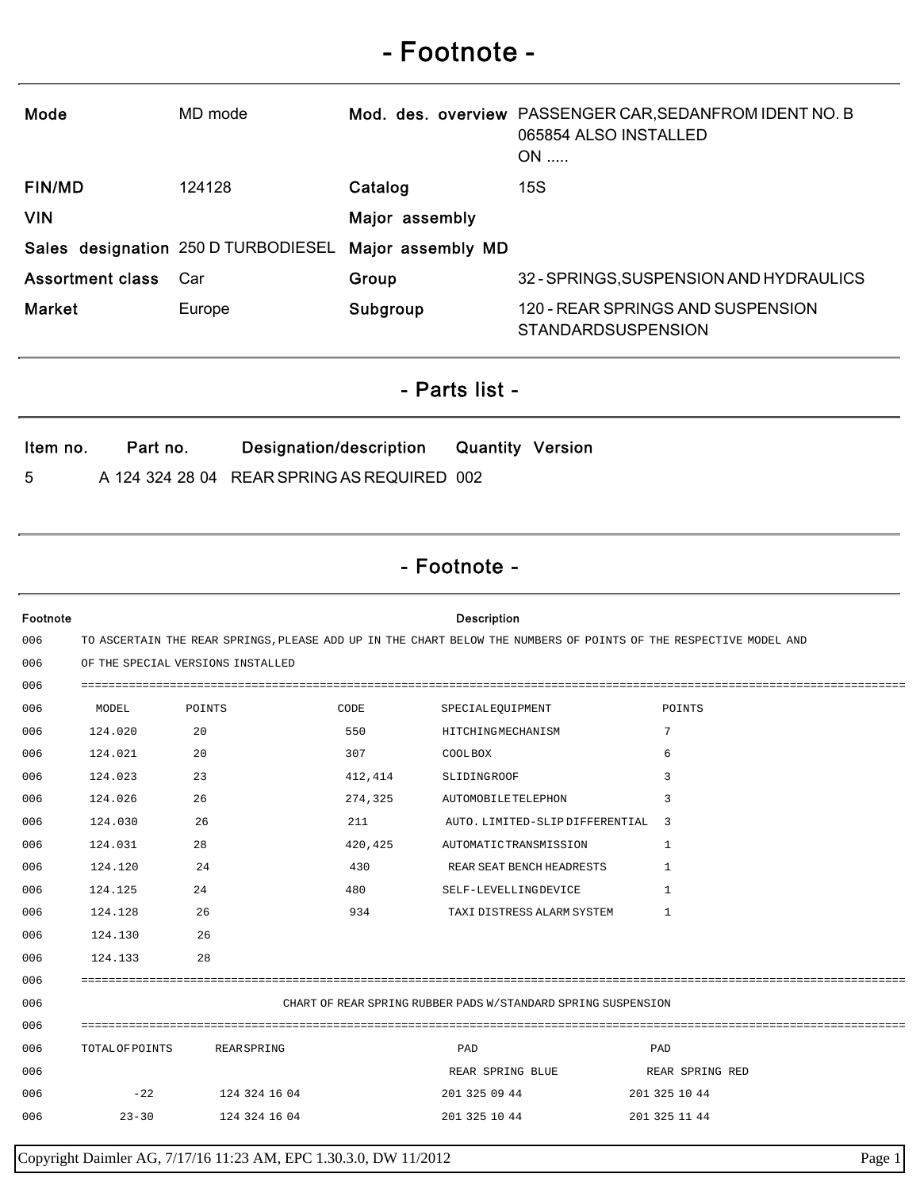## - Footnote -

| Mode                    | MD mode                             |                   | Mod. des. overview PASSENGER CAR, SEDANFROM IDENT NO. B<br>065854 ALSO INSTALLED<br>$ON$ |
|-------------------------|-------------------------------------|-------------------|------------------------------------------------------------------------------------------|
| <b>FIN/MD</b>           | 124128                              | Catalog           | 15S                                                                                      |
| <b>VIN</b>              |                                     | Major assembly    |                                                                                          |
|                         | Sales designation 250 D TURBODIESEL | Major assembly MD |                                                                                          |
| <b>Assortment class</b> | Car                                 | Group             | 32 - SPRINGS, SUSPENSION AND HYDRAULICS                                                  |
| <b>Market</b>           | Europe                              | Subgroup          | 120 - REAR SPRINGS AND SUSPENSION<br><b>STANDARDSUSPENSION</b>                           |

## - Parts list -

| ltem no. | Part no. | Designation/description                     | <b>Quantity Version</b> |  |
|----------|----------|---------------------------------------------|-------------------------|--|
| -5       |          | A 124 324 28 04 REAR SPRING AS REQUIRED 002 |                         |  |

## - Footnote -

| Footnote |                                                                                                                   |               |         | <b>Description</b>              |                 |  |
|----------|-------------------------------------------------------------------------------------------------------------------|---------------|---------|---------------------------------|-----------------|--|
| 006      | TO ASCERTAIN THE REAR SPRINGS, PLEASE ADD UP IN THE CHART BELOW THE NUMBERS OF POINTS OF THE RESPECTIVE MODEL AND |               |         |                                 |                 |  |
| 006      | OF THE SPECIAL VERSIONS INSTALLED                                                                                 |               |         |                                 |                 |  |
| 006      |                                                                                                                   |               |         |                                 |                 |  |
| 006      | MODEL                                                                                                             | POINTS        | CODE    | SPECIALEQUIPMENT                | POINTS          |  |
| 006      | 124.020                                                                                                           | 20            | 550     | HITCHINGMECHANISM               | 7               |  |
| 006      | 124.021                                                                                                           | 20            | 307     | COOL BOX                        | 6               |  |
| 006      | 124.023                                                                                                           | 23            | 412,414 | SLIDINGROOF                     | 3               |  |
| 006      | 124.026                                                                                                           | 26            | 274,325 | AUTOMOBILETELEPHON              | 3               |  |
| 006      | 124.030                                                                                                           | 26            | 211     | AUTO. LIMITED-SLIP DIFFERENTIAL | - 3             |  |
| 006      | 124.031                                                                                                           | 28            | 420,425 | AUTOMATICTRANSMISSION           | 1               |  |
| 006      | 124.120                                                                                                           | 24            | 430     | REAR SEAT BENCH HEADRESTS       | 1               |  |
| 006      | 124.125                                                                                                           | 24            | 480     | SELF-LEVELLINGDEVICE            | 1               |  |
| 006      | 124.128                                                                                                           | 26            | 934     | TAXI DISTRESS ALARM SYSTEM      | 1               |  |
| 006      | 124.130                                                                                                           | 26            |         |                                 |                 |  |
| 006      | 124.133                                                                                                           | 28            |         |                                 |                 |  |
| 006      |                                                                                                                   |               |         |                                 |                 |  |
| 006      | CHART OF REAR SPRING RUBBER PADS W/STANDARD SPRING SUSPENSION                                                     |               |         |                                 |                 |  |
| 006      |                                                                                                                   |               |         |                                 |                 |  |
| 006      | TOTAL OF POINTS                                                                                                   | REAR SPRING   |         | PAD                             | PAD             |  |
| 006      |                                                                                                                   |               |         | REAR SPRING BLUE                | REAR SPRING RED |  |
| 006      | $-22$                                                                                                             | 124 324 16 04 |         | 201 325 09 44                   | 201 325 10 44   |  |
| 006      | $23 - 30$                                                                                                         | 124 324 16 04 |         | 201 325 10 44                   | 201 325 11 44   |  |
|          |                                                                                                                   |               |         |                                 |                 |  |

Copyright Daimler AG, 7/17/16 11:23 AM, EPC 1.30.3.0, DW 11/2012 Page 1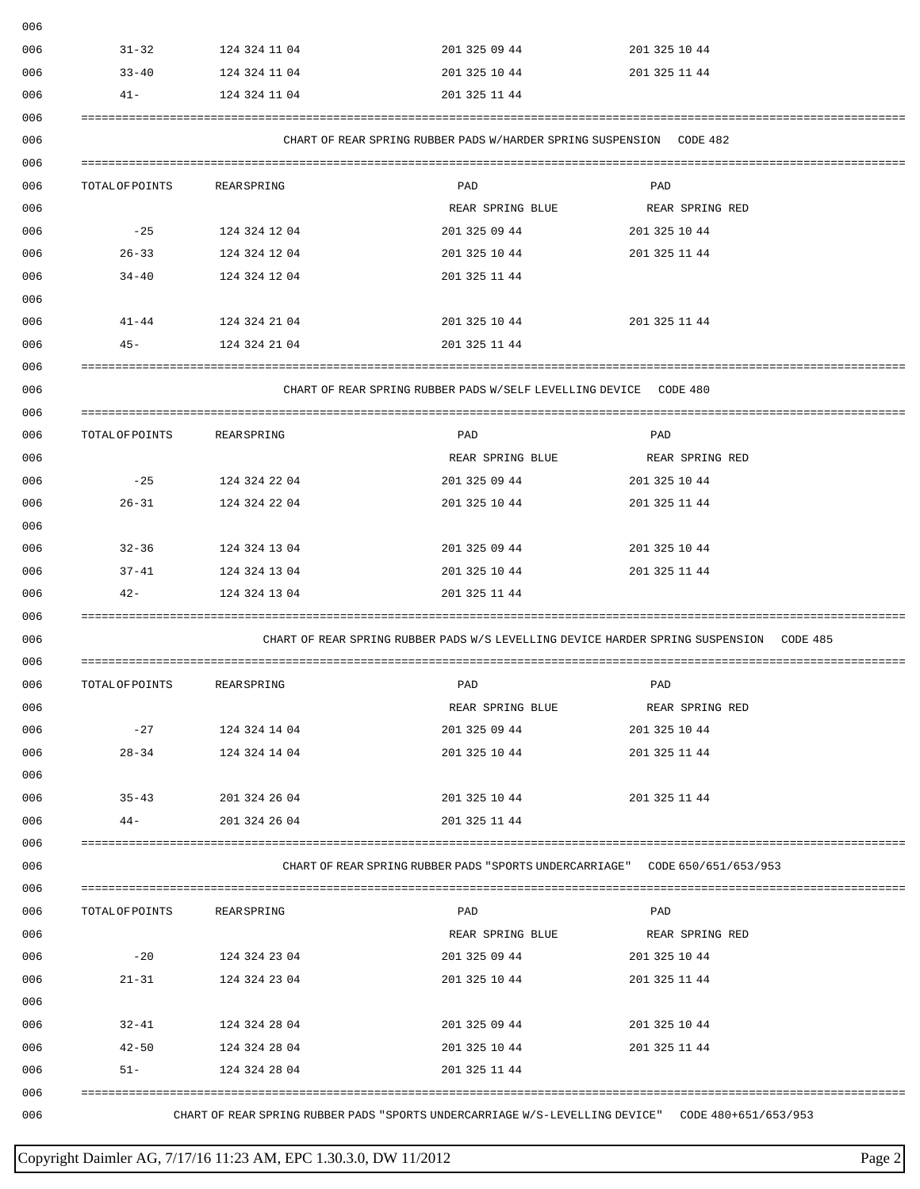| $31 - 32$              | 124 324 11 04                  | 201 325 09 44                                                                           | 201 325 10 44                  |
|------------------------|--------------------------------|-----------------------------------------------------------------------------------------|--------------------------------|
| $33 - 40$              | 124 324 11 04                  | 201 325 10 44                                                                           | 201 325 11 44                  |
| $41 -$                 | 124 324 11 04                  | 201 325 11 44                                                                           |                                |
|                        |                                | CHART OF REAR SPRING RUBBER PADS W/HARDER SPRING SUSPENSION CODE 482                    |                                |
|                        |                                |                                                                                         |                                |
| TOTAL OF POINTS        | REAR SPRING                    | PAD                                                                                     | PAD                            |
|                        |                                | REAR SPRING BLUE                                                                        | REAR SPRING RED                |
| $-25$                  | 124 324 12 04                  | 201 325 09 44                                                                           | 201 325 10 44                  |
| $26 - 33$              | 124 324 12 04                  | 201 325 10 44                                                                           | 201 325 11 44                  |
| $34 - 40$              | 124 324 12 04                  | 201 325 11 44                                                                           |                                |
| $41 - 44$              | 124 324 21 04                  | 201 325 10 44                                                                           | 201 325 11 44                  |
| $45 -$                 | 124 324 21 04                  | 201 325 11 44                                                                           |                                |
|                        |                                |                                                                                         |                                |
|                        |                                | CHART OF REAR SPRING RUBBER PADS W/SELF LEVELLING DEVICE CODE 480                       |                                |
| TOTAL OF POINTS        | REAR SPRING                    | PAD                                                                                     | PAD                            |
|                        |                                | REAR SPRING BLUE                                                                        | REAR SPRING RED                |
| $-25$                  | 124 324 22 04                  | 201 325 09 44                                                                           | 201 325 10 44                  |
| $26 - 31$              | 124 324 22 04                  | 201 325 10 44                                                                           | 201 325 11 44                  |
|                        |                                |                                                                                         |                                |
| $32 - 36$              | 124 324 13 04                  | 201 325 09 44                                                                           | 201 325 10 44                  |
| 37-41                  | 124 324 13 04                  | 201 325 10 44                                                                           | 201 325 11 44                  |
| $42 -$                 | 124 324 13 04                  | 201 325 11 44                                                                           |                                |
|                        |                                |                                                                                         |                                |
|                        |                                | CHART OF REAR SPRING RUBBER PADS W/S LEVELLING DEVICE HARDER SPRING SUSPENSION CODE 485 |                                |
| TOTAL OF POINTS        | REAR SPRING                    | PAD                                                                                     | PAD                            |
|                        |                                |                                                                                         | REAR SPRING RED                |
|                        |                                | REAR SPRING BLUE                                                                        |                                |
| $-27$                  | 124 324 14 04                  | 201 325 09 44                                                                           | 201 325 10 44                  |
| $28 - 34$              | 124 324 14 04                  | 201 325 10 44                                                                           | 201 325 11 44                  |
|                        |                                |                                                                                         |                                |
| $35 - 43$              | 201 324 26 04                  | 201 325 10 44                                                                           | 201 325 11 44                  |
| $44-$                  | 201 324 26 04                  | 201 325 11 44                                                                           |                                |
|                        |                                | CHART OF REAR SPRING RUBBER PADS "SPORTS UNDERCARRIAGE" CODE 650/651/653/953            |                                |
|                        |                                |                                                                                         |                                |
|                        | REAR SPRING                    | PAD                                                                                     | PAD                            |
| TOTAL OF POINTS        |                                | REAR SPRING BLUE                                                                        | REAR SPRING RED                |
| $-20$                  | 124 324 23 04                  | 201 325 09 44                                                                           | 201 325 10 44                  |
| $21 - 31$              | 124 324 23 04                  | 201 325 10 44                                                                           | 201 325 11 44                  |
|                        |                                |                                                                                         |                                |
| $32 - 41$<br>$42 - 50$ | 124 324 28 04<br>124 324 28 04 | 201 325 09 44<br>201 325 10 44                                                          | 201 325 10 44<br>201 325 11 44 |

## Copyright Daimler AG, 7/17/16 11:23 AM, EPC 1.30.3.0, DW 11/2012 Page 2